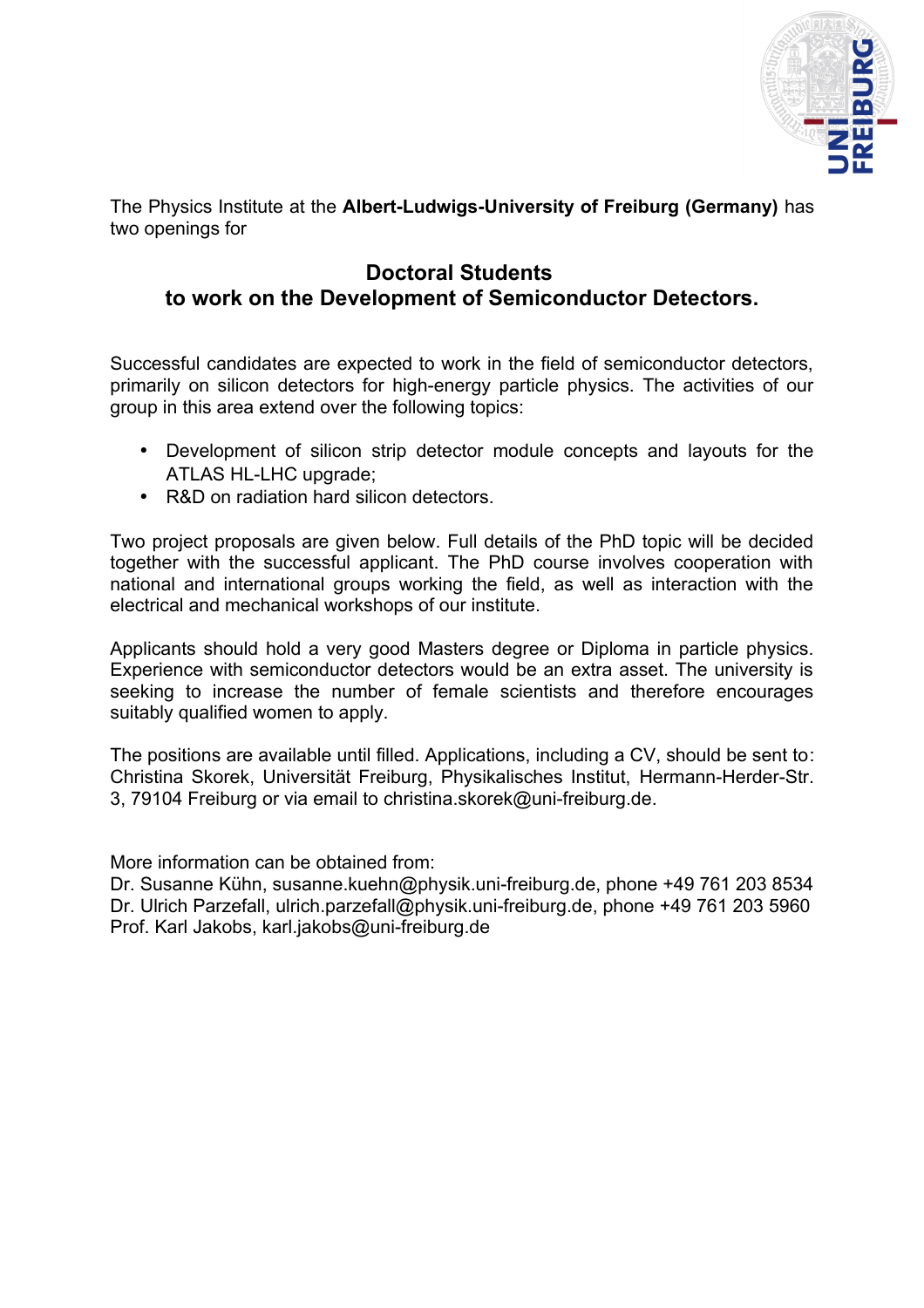

The Physics Institute at the **Albert-Ludwigs-University of Freiburg (Germany)** has two openings for

#### **Doctoral Students to work on the Development of Semiconductor Detectors.**

Successful candidates are expected to work in the field of semiconductor detectors, primarily on silicon detectors for high-energy particle physics. The activities of our group in this area extend over the following topics:

- Development of silicon strip detector module concepts and layouts for the ATLAS HL-LHC upgrade;
- R&D on radiation hard silicon detectors.

Two project proposals are given below. Full details of the PhD topic will be decided together with the successful applicant. The PhD course involves cooperation with national and international groups working the field, as well as interaction with the electrical and mechanical workshops of our institute.

Applicants should hold a very good Masters degree or Diploma in particle physics. Experience with semiconductor detectors would be an extra asset. The university is seeking to increase the number of female scientists and therefore encourages suitably qualified women to apply.

The positions are available until filled. Applications, including a CV, should be sent to: Christina Skorek, Universität Freiburg, Physikalisches Institut, Hermann-Herder-Str. 3, 79104 Freiburg or via email to christina.skorek@uni-freiburg.de.

More information can be obtained from:

Dr. Susanne Kühn, susanne.kuehn@physik.uni-freiburg.de, phone +49 761 203 8534 Dr. Ulrich Parzefall, ulrich.parzefall@physik.uni-freiburg.de, phone +49 761 203 5960 Prof. Karl Jakobs, karl.jakobs@uni-freiburg.de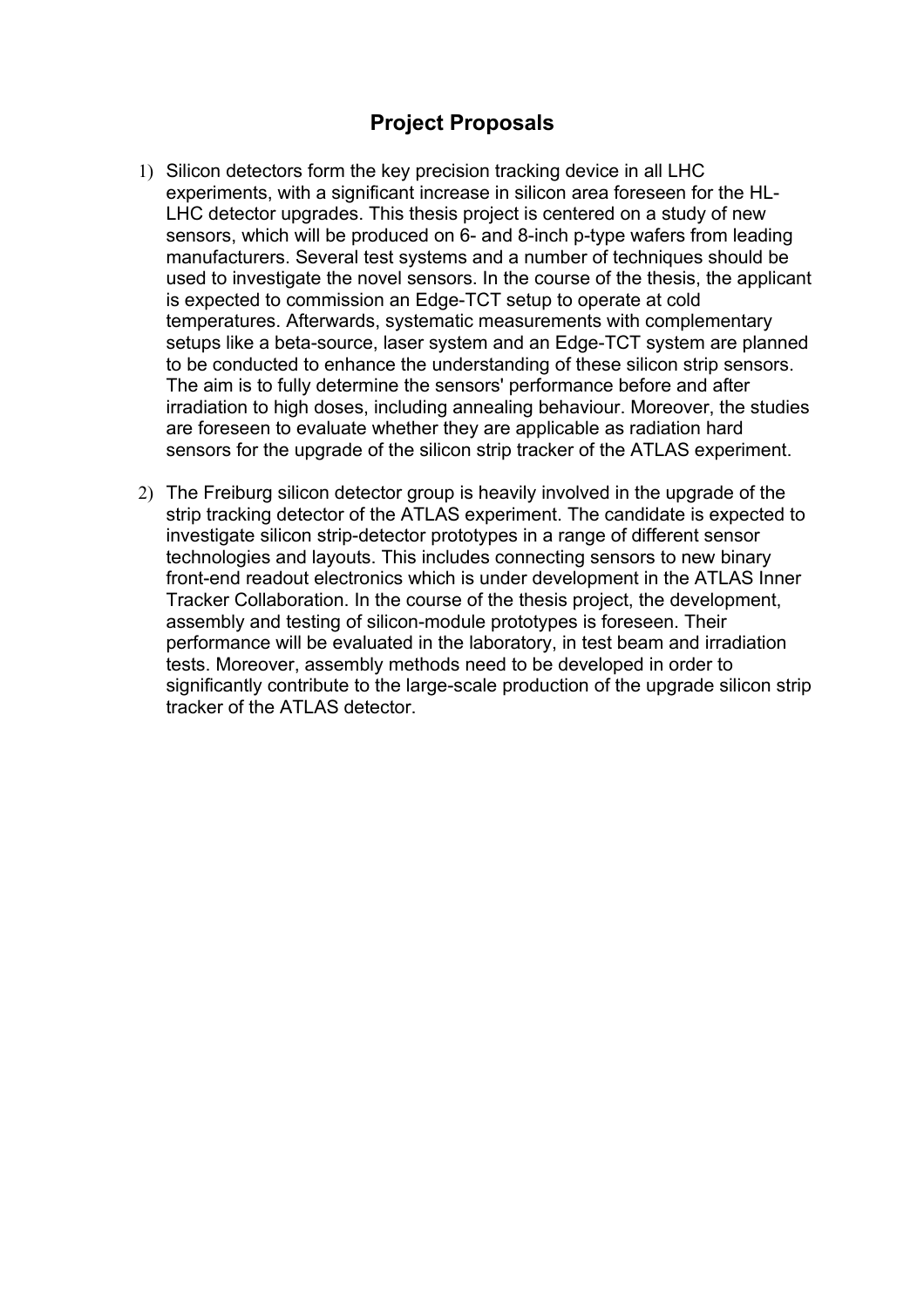#### **Project Proposals**

- 1) Silicon detectors form the key precision tracking device in all LHC experiments, with a significant increase in silicon area foreseen for the HL-LHC detector upgrades. This thesis project is centered on a study of new sensors, which will be produced on 6- and 8-inch p-type wafers from leading manufacturers. Several test systems and a number of techniques should be used to investigate the novel sensors. In the course of the thesis, the applicant is expected to commission an Edge-TCT setup to operate at cold temperatures. Afterwards, systematic measurements with complementary setups like a beta-source, laser system and an Edge-TCT system are planned to be conducted to enhance the understanding of these silicon strip sensors. The aim is to fully determine the sensors' performance before and after irradiation to high doses, including annealing behaviour. Moreover, the studies are foreseen to evaluate whether they are applicable as radiation hard sensors for the upgrade of the silicon strip tracker of the ATLAS experiment.
- 2) The Freiburg silicon detector group is heavily involved in the upgrade of the strip tracking detector of the ATLAS experiment. The candidate is expected to investigate silicon strip-detector prototypes in a range of different sensor technologies and layouts. This includes connecting sensors to new binary front-end readout electronics which is under development in the ATLAS Inner Tracker Collaboration. In the course of the thesis project, the development, assembly and testing of silicon-module prototypes is foreseen. Their performance will be evaluated in the laboratory, in test beam and irradiation tests. Moreover, assembly methods need to be developed in order to significantly contribute to the large-scale production of the upgrade silicon strip tracker of the ATLAS detector.